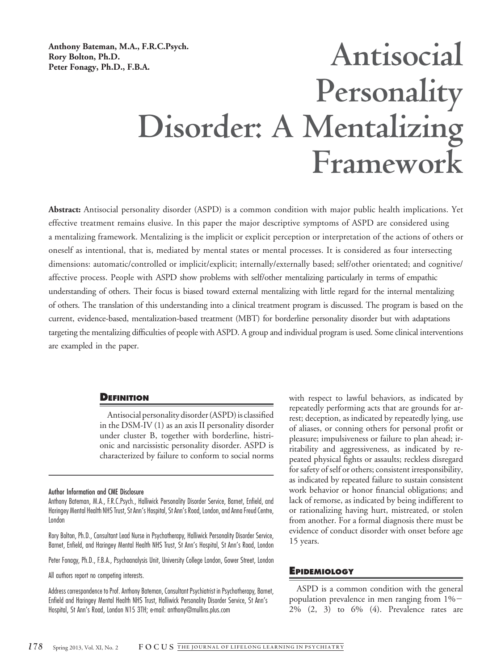Anthony Bateman, M.A., F.R.C.Psych. Rory Bolton, Ph.D.

# Anthony Bateman, M.A., F.R.C.Psych.<br>Rory Bolton, Ph.D.<br>Peter Fonagy, Ph.D., F.B.A. Personality Disorder: A Mentalizing Framework

Abstract: Antisocial personality disorder (ASPD) is a common condition with major public health implications. Yet effective treatment remains elusive. In this paper the major descriptive symptoms of ASPD are considered using a mentalizing framework. Mentalizing is the implicit or explicit perception or interpretation of the actions of others or oneself as intentional, that is, mediated by mental states or mental processes. It is considered as four intersecting dimensions: automatic/controlled or implicit/explicit; internally/externally based; self/other orientated; and cognitive/ affective process. People with ASPD show problems with self/other mentalizing particularly in terms of empathic understanding of others. Their focus is biased toward external mentalizing with little regard for the internal mentalizing of others. The translation of this understanding into a clinical treatment program is discussed. The program is based on the current, evidence-based, mentalization-based treatment (MBT) for borderline personality disorder but with adaptations targeting the mentalizing difficulties of people with ASPD. A group and individual program is used. Some clinical interventions are exampled in the paper.

## **DEFINITION**

Antisocial personality disorder (ASPD) is classified in the DSM-IV (1) as an axis II personality disorder under cluster B, together with borderline, histrionic and narcissistic personality disorder. ASPD is characterized by failure to conform to social norms

## Author Information and CME Disclosure

Anthony Bateman, M.A., F.R.C.Psych., Halliwick Personality Disorder Service, Barnet, Enfield, and Haringey Mental Health NHS Trust, St Ann's Hospital, St Ann's Road, London, and Anna Freud Centre, London

Rory Bolton, Ph.D., Consultant Lead Nurse in Psychotherapy, Halliwick Personality Disorder Service, Barnet, Enfield, and Haringey Mental Health NHS Trust, St Ann's Hospital, St Ann's Road, London

Peter Fonagy, Ph.D., F.B.A., Psychoanalysis Unit, University College London, Gower Street, London

All authors report no competing interests.

Address correspondence to Prof. Anthony Bateman, Consultant Psychiatrist in Psychotherapy, Barnet, Enfield and Haringey Mental Health NHS Trust, Halliwick Personality Disorder Service, St Ann's Hospital, St Ann's Road, London N15 3TH; e-mail: [anthony@mullins.plus.com](mailto:anthony@mullins.plus.com)

with respect to lawful behaviors, as indicated by repeatedly performing acts that are grounds for arrest; deception, as indicated by repeatedly lying, use of aliases, or conning others for personal profit or pleasure; impulsiveness or failure to plan ahead; irritability and aggressiveness, as indicated by repeated physical fights or assaults; reckless disregard for safety of self or others; consistent irresponsibility, as indicated by repeated failure to sustain consistent work behavior or honor financial obligations; and lack of remorse, as indicated by being indifferent to or rationalizing having hurt, mistreated, or stolen from another. For a formal diagnosis there must be evidence of conduct disorder with onset before age 15 years.

## **EPIDEMIOLOGY**

ASPD is a common condition with the general population prevalence in men ranging from  $1\%$ - $2\%$   $(2, 3)$  to  $6\%$   $(4)$ . Prevalence rates are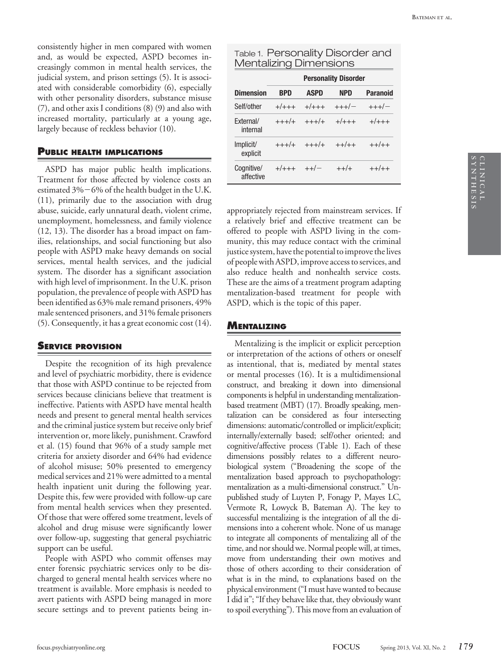consistently higher in men compared with women and, as would be expected, ASPD becomes increasingly common in mental health services, the judicial system, and prison settings (5). It is associated with considerable comorbidity (6), especially with other personality disorders, substance misuse (7), and other axis I conditions (8) (9) and also with increased mortality, particularly at a young age, largely because of reckless behavior (10).

## PUBLIC HEALTH IMPLICATIONS

ASPD has major public health implications. Treatment for those affected by violence costs an estimated  $3\% - 6\%$  of the health budget in the U.K. (11), primarily due to the association with drug abuse, suicide, early unnatural death, violent crime, unemployment, homelessness, and family violence (12, 13). The disorder has a broad impact on families, relationships, and social functioning but also people with ASPD make heavy demands on social services, mental health services, and the judicial system. The disorder has a significant association with high level of imprisonment. In the U.K. prison population, the prevalence of people with ASPD has been identified as 63% male remand prisoners, 49% male sentenced prisoners, and 31% female prisoners (5). Consequently, it has a great economic cost (14).

# **SERVICE PROVISION**

Despite the recognition of its high prevalence and level of psychiatric morbidity, there is evidence that those with ASPD continue to be rejected from services because clinicians believe that treatment is ineffective. Patients with ASPD have mental health needs and present to general mental health services and the criminal justice system but receive only brief intervention or, more likely, punishment. Crawford et al. (15) found that 96% of a study sample met criteria for anxiety disorder and 64% had evidence of alcohol misuse; 50% presented to emergency medical services and 21% were admitted to a mental health inpatient unit during the following year. Despite this, few were provided with follow-up care from mental health services when they presented. Of those that were offered some treatment, levels of alcohol and drug misuse were significantly lower over follow-up, suggesting that general psychiatric support can be useful.

People with ASPD who commit offenses may enter forensic psychiatric services only to be discharged to general mental health services where no treatment is available. More emphasis is needed to avert patients with ASPD being managed in more secure settings and to prevent patients being in-

| Table 1. Personality Disorder and |
|-----------------------------------|
| <b>Mentalizing Dimensions</b>     |

|                         | <b>Personality Disorder</b> |             |            |                 |  |
|-------------------------|-----------------------------|-------------|------------|-----------------|--|
| <b>Dimension</b>        | <b>BPD</b>                  | <b>ASPD</b> | <b>NPD</b> | <b>Paranoid</b> |  |
| Self/other              | $+/+++$                     | $+/+++$     | $+++/-$    | $+++/-$         |  |
| External/<br>internal   | $+ + +/+$                   | $+ + +/+$   | $+/+++$    | $+/+++$         |  |
| Implicit/<br>explicit   | $+ + +/+$                   | $+ + +/+$   | $++/++$    | $+ +/+ +$       |  |
| Cognitive/<br>affective | $+/+++$                     | $++/ -$     | $+ +/+$    | $+ +/+ +$       |  |

appropriately rejected from mainstream services. If a relatively brief and effective treatment can be offered to people with ASPD living in the community, this may reduce contact with the criminal justice system, have the potential to improve the lives of people with ASPD, improve access to services, and also reduce health and nonhealth service costs. These are the aims of a treatment program adapting mentalization-based treatment for people with ASPD, which is the topic of this paper.

## **MENTALIZING**

Mentalizing is the implicit or explicit perception or interpretation of the actions of others or oneself as intentional, that is, mediated by mental states or mental processes (16). It is a multidimensional construct, and breaking it down into dimensional components is helpful in understanding mentalizationbased treatment (MBT) (17). Broadly speaking, mentalization can be considered as four intersecting dimensions: automatic/controlled or implicit/explicit; internally/externally based; self/other oriented; and cognitive/affective process (Table 1). Each of these dimensions possibly relates to a different neurobiological system ("Broadening the scope of the mentalization based approach to psychopathology: mentalization as a multi-dimensional construct." Unpublished study of Luyten P, Fonagy P, Mayes LC, Vermote R, Lowyck B, Bateman A). The key to successful mentalizing is the integration of all the dimensions into a coherent whole. None of us manage to integrate all components of mentalizing all of the time, and nor should we. Normal people will, at times, move from understanding their own motives and those of others according to their consideration of what is in the mind, to explanations based on the physical environment ("I must have wanted to because I did it"; "If they behave like that, they obviously want to spoil everything"). This move from an evaluation of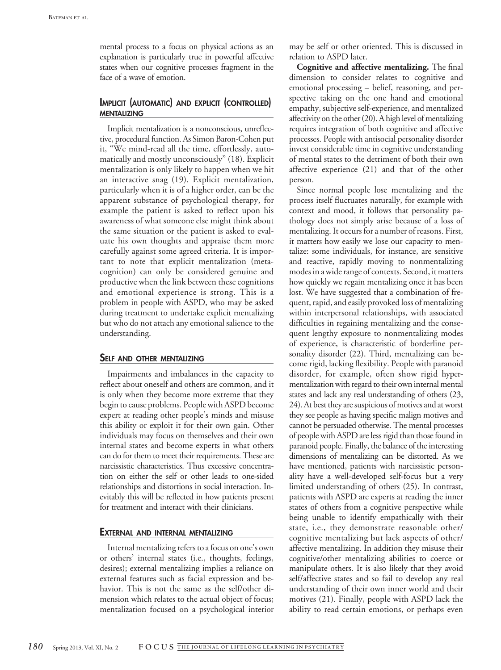mental process to a focus on physical actions as an explanation is particularly true in powerful affective states when our cognitive processes fragment in the face of a wave of emotion.

# IMPLICIT (AUTOMATIC) AND EXPLICIT (CONTROLLED) MENTALIZING

Implicit mentalization is a nonconscious, unreflective, procedural function. As Simon Baron-Cohen put it, "We mind-read all the time, effortlessly, automatically and mostly unconsciously" (18). Explicit mentalization is only likely to happen when we hit an interactive snag (19). Explicit mentalization, particularly when it is of a higher order, can be the apparent substance of psychological therapy, for example the patient is asked to reflect upon his awareness of what someone else might think about the same situation or the patient is asked to evaluate his own thoughts and appraise them more carefully against some agreed criteria. It is important to note that explicit mentalization (metacognition) can only be considered genuine and productive when the link between these cognitions and emotional experience is strong. This is a problem in people with ASPD, who may be asked during treatment to undertake explicit mentalizing but who do not attach any emotional salience to the understanding.

## SELF AND OTHER MENTALIZING

Impairments and imbalances in the capacity to reflect about oneself and others are common, and it is only when they become more extreme that they begin to cause problems. People with ASPD become expert at reading other people's minds and misuse this ability or exploit it for their own gain. Other individuals may focus on themselves and their own internal states and become experts in what others can do for them to meet their requirements. These are narcissistic characteristics. Thus excessive concentration on either the self or other leads to one-sided relationships and distortions in social interaction. Inevitably this will be reflected in how patients present for treatment and interact with their clinicians.

#### EXTERNAL AND INTERNAL MENTALIZING

Internal mentalizing refers to a focus on one's own or others' internal states (i.e., thoughts, feelings, desires); external mentalizing implies a reliance on external features such as facial expression and behavior. This is not the same as the self/other dimension which relates to the actual object of focus; mentalization focused on a psychological interior may be self or other oriented. This is discussed in relation to ASPD later.

Cognitive and affective mentalizing. The final dimension to consider relates to cognitive and emotional processing – belief, reasoning, and perspective taking on the one hand and emotional empathy, subjective self-experience, and mentalized affectivity on the other (20). A high level of mentalizing requires integration of both cognitive and affective processes. People with antisocial personality disorder invest considerable time in cognitive understanding of mental states to the detriment of both their own affective experience (21) and that of the other person.

Since normal people lose mentalizing and the process itself fluctuates naturally, for example with context and mood, it follows that personality pathology does not simply arise because of a loss of mentalizing. It occurs for a number of reasons. First, it matters how easily we lose our capacity to mentalize: some individuals, for instance, are sensitive and reactive, rapidly moving to nonmentalizing modes in a wide range of contexts. Second, it matters how quickly we regain mentalizing once it has been lost. We have suggested that a combination of frequent, rapid, and easily provoked loss of mentalizing within interpersonal relationships, with associated difficulties in regaining mentalizing and the consequent lengthy exposure to nonmentalizing modes of experience, is characteristic of borderline personality disorder (22). Third, mentalizing can become rigid, lacking flexibility. People with paranoid disorder, for example, often show rigid hypermentalization with regard to their own internal mental states and lack any real understanding of others (23, 24). At best they are suspicious of motives and at worst they see people as having specific malign motives and cannot be persuaded otherwise. The mental processes of people with ASPD are less rigid than those found in paranoid people. Finally, the balance of the interesting dimensions of mentalizing can be distorted. As we have mentioned, patients with narcissistic personality have a well-developed self-focus but a very limited understanding of others (25). In contrast, patients with ASPD are experts at reading the inner states of others from a cognitive perspective while being unable to identify empathically with their state, i.e., they demonstrate reasonable other/ cognitive mentalizing but lack aspects of other/ affective mentalizing. In addition they misuse their cognitive/other mentalizing abilities to coerce or manipulate others. It is also likely that they avoid self/affective states and so fail to develop any real understanding of their own inner world and their motives (21). Finally, people with ASPD lack the ability to read certain emotions, or perhaps even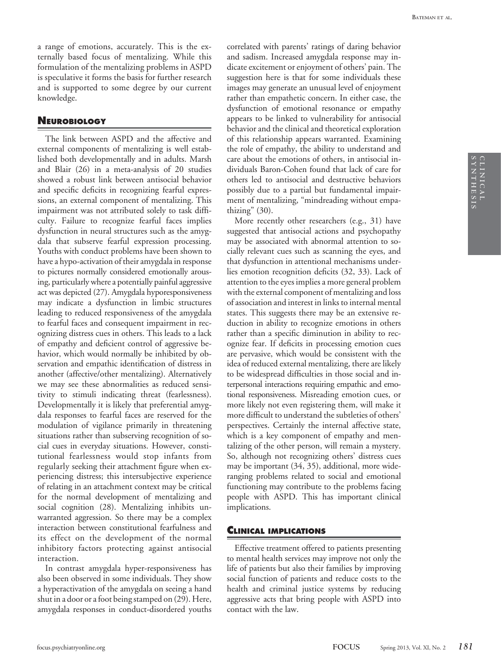a range of emotions, accurately. This is the externally based focus of mentalizing. While this formulation of the mentalizing problems in ASPD is speculative it forms the basis for further research and is supported to some degree by our current knowledge.

# **NEUROBIOLOGY**

The link between ASPD and the affective and external components of mentalizing is well established both developmentally and in adults. Marsh and Blair (26) in a meta-analysis of 20 studies showed a robust link between antisocial behavior and specific deficits in recognizing fearful expressions, an external component of mentalizing. This impairment was not attributed solely to task difficulty. Failure to recognize fearful faces implies dysfunction in neural structures such as the amygdala that subserve fearful expression processing. Youths with conduct problems have been shown to have a hypo-activation of their amygdala in response to pictures normally considered emotionally arousing, particularly where a potentially painful aggressive act was depicted (27). Amygdala hyporesponsiveness may indicate a dysfunction in limbic structures leading to reduced responsiveness of the amygdala to fearful faces and consequent impairment in recognizing distress cues in others. This leads to a lack of empathy and deficient control of aggressive behavior, which would normally be inhibited by observation and empathic identification of distress in another (affective/other mentalizing). Alternatively we may see these abnormalities as reduced sensitivity to stimuli indicating threat (fearlessness). Developmentally it is likely that preferential amygdala responses to fearful faces are reserved for the modulation of vigilance primarily in threatening situations rather than subserving recognition of social cues in everyday situations. However, constitutional fearlessness would stop infants from regularly seeking their attachment figure when experiencing distress; this intersubjective experience of relating in an attachment context may be critical for the normal development of mentalizing and social cognition (28). Mentalizing inhibits unwarranted aggression. So there may be a complex interaction between constitutional fearfulness and its effect on the development of the normal inhibitory factors protecting against antisocial interaction.

In contrast amygdala hyper-responsiveness has also been observed in some individuals. They show a hyperactivation of the amygdala on seeing a hand shut in a door or a foot being stamped on (29). Here, amygdala responses in conduct-disordered youths

correlated with parents' ratings of daring behavior and sadism. Increased amygdala response may indicate excitement or enjoyment of others' pain. The suggestion here is that for some individuals these images may generate an unusual level of enjoyment rather than empathetic concern. In either case, the dysfunction of emotional resonance or empathy appears to be linked to vulnerability for antisocial behavior and the clinical and theoretical exploration of this relationship appears warranted. Examining the role of empathy, the ability to understand and care about the emotions of others, in antisocial individuals Baron-Cohen found that lack of care for others led to antisocial and destructive behaviors possibly due to a partial but fundamental impairment of mentalizing, "mindreading without empathizing" (30).

More recently other researchers (e.g., 31) have suggested that antisocial actions and psychopathy may be associated with abnormal attention to socially relevant cues such as scanning the eyes, and that dysfunction in attentional mechanisms underlies emotion recognition deficits (32, 33). Lack of attention to the eyes implies a more general problem with the external component of mentalizing and loss of association and interest in links to internal mental states. This suggests there may be an extensive reduction in ability to recognize emotions in others rather than a specific diminution in ability to recognize fear. If deficits in processing emotion cues are pervasive, which would be consistent with the idea of reduced external mentalizing, there are likely to be widespread difficulties in those social and interpersonal interactions requiring empathic and emotional responsiveness. Misreading emotion cues, or more likely not even registering them, will make it more difficult to understand the subtleties of others' perspectives. Certainly the internal affective state, which is a key component of empathy and mentalizing of the other person, will remain a mystery. So, although not recognizing others' distress cues may be important (34, 35), additional, more wideranging problems related to social and emotional functioning may contribute to the problems facing people with ASPD. This has important clinical implications.

## CLINICAL IMPLICATIONS

Effective treatment offered to patients presenting to mental health services may improve not only the life of patients but also their families by improving social function of patients and reduce costs to the health and criminal justice systems by reducing aggressive acts that bring people with ASPD into contact with the law.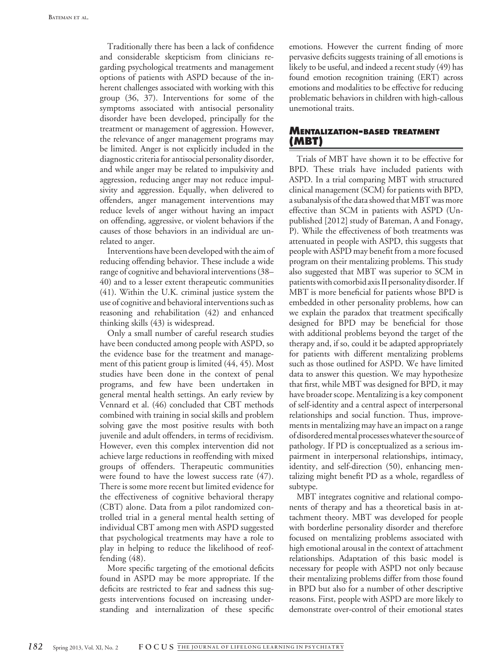Traditionally there has been a lack of confidence and considerable skepticism from clinicians regarding psychological treatments and management options of patients with ASPD because of the inherent challenges associated with working with this group (36, 37). Interventions for some of the symptoms associated with antisocial personality disorder have been developed, principally for the treatment or management of aggression. However, the relevance of anger management programs may be limited. Anger is not explicitly included in the diagnostic criteria for antisocial personality disorder, and while anger may be related to impulsivity and aggression, reducing anger may not reduce impulsivity and aggression. Equally, when delivered to offenders, anger management interventions may reduce levels of anger without having an impact on offending, aggressive, or violent behaviors if the causes of those behaviors in an individual are unrelated to anger.

Interventions have been developed with the aim of reducing offending behavior. These include a wide range of cognitive and behavioral interventions (38– 40) and to a lesser extent therapeutic communities (41). Within the U.K. criminal justice system the use of cognitive and behavioral interventions such as reasoning and rehabilitation (42) and enhanced thinking skills (43) is widespread.

Only a small number of careful research studies have been conducted among people with ASPD, so the evidence base for the treatment and management of this patient group is limited (44, 45). Most studies have been done in the context of penal programs, and few have been undertaken in general mental health settings. An early review by Vennard et al. (46) concluded that CBT methods combined with training in social skills and problem solving gave the most positive results with both juvenile and adult offenders, in terms of recidivism. However, even this complex intervention did not achieve large reductions in reoffending with mixed groups of offenders. Therapeutic communities were found to have the lowest success rate (47). There is some more recent but limited evidence for the effectiveness of cognitive behavioral therapy (CBT) alone. Data from a pilot randomized controlled trial in a general mental health setting of individual CBT among men with ASPD suggested that psychological treatments may have a role to play in helping to reduce the likelihood of reoffending (48).

More specific targeting of the emotional deficits found in ASPD may be more appropriate. If the deficits are restricted to fear and sadness this suggests interventions focused on increasing understanding and internalization of these specific

emotions. However the current finding of more pervasive deficits suggests training of all emotions is likely to be useful, and indeed a recent study (49) has found emotion recognition training (ERT) across emotions and modalities to be effective for reducing problematic behaviors in children with high-callous unemotional traits.

# MENTALIZATION-BASED TREATMENT (MBT)

Trials of MBT have shown it to be effective for BPD. These trials have included patients with ASPD. In a trial comparing MBT with structured clinical management (SCM) for patients with BPD, a subanalysis of the data showed that MBT was more effective than SCM in patients with ASPD (Unpublished [2012] study of Bateman, A and Fonagy, P). While the effectiveness of both treatments was attenuated in people with ASPD, this suggests that people with ASPD may benefit from a more focused program on their mentalizing problems. This study also suggested that MBT was superior to SCM in patientswith comorbid axis II personality disorder. If MBT is more beneficial for patients whose BPD is embedded in other personality problems, how can we explain the paradox that treatment specifically designed for BPD may be beneficial for those with additional problems beyond the target of the therapy and, if so, could it be adapted appropriately for patients with different mentalizing problems such as those outlined for ASPD. We have limited data to answer this question. We may hypothesize that first, while MBT was designed for BPD, it may have broader scope. Mentalizing is a key component of self-identity and a central aspect of interpersonal relationships and social function. Thus, improvements in mentalizing may have an impact on a range of disordered mental processes whatever the source of pathology. If PD is conceptualized as a serious impairment in interpersonal relationships, intimacy, identity, and self-direction (50), enhancing mentalizing might benefit PD as a whole, regardless of subtype.

MBT integrates cognitive and relational components of therapy and has a theoretical basis in attachment theory. MBT was developed for people with borderline personality disorder and therefore focused on mentalizing problems associated with high emotional arousal in the context of attachment relationships. Adaptation of this basic model is necessary for people with ASPD not only because their mentalizing problems differ from those found in BPD but also for a number of other descriptive reasons. First, people with ASPD are more likely to demonstrate over-control of their emotional states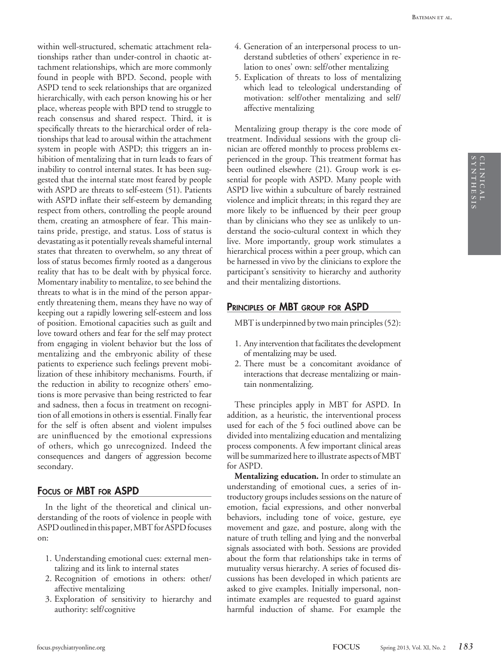within well-structured, schematic attachment relationships rather than under-control in chaotic attachment relationships, which are more commonly found in people with BPD. Second, people with ASPD tend to seek relationships that are organized hierarchically, with each person knowing his or her place, whereas people with BPD tend to struggle to reach consensus and shared respect. Third, it is specifically threats to the hierarchical order of relationships that lead to arousal within the attachment system in people with ASPD; this triggers an inhibition of mentalizing that in turn leads to fears of inability to control internal states. It has been suggested that the internal state most feared by people with ASPD are threats to self-esteem (51). Patients with ASPD inflate their self-esteem by demanding respect from others, controlling the people around them, creating an atmosphere of fear. This maintains pride, prestige, and status. Loss of status is devastating as it potentially reveals shameful internal states that threaten to overwhelm, so any threat of loss of status becomes firmly rooted as a dangerous reality that has to be dealt with by physical force. Momentary inability to mentalize, to see behind the threats to what is in the mind of the person apparently threatening them, means they have no way of keeping out a rapidly lowering self-esteem and loss of position. Emotional capacities such as guilt and love toward others and fear for the self may protect from engaging in violent behavior but the loss of mentalizing and the embryonic ability of these patients to experience such feelings prevent mobilization of these inhibitory mechanisms. Fourth, if the reduction in ability to recognize others' emotions is more pervasive than being restricted to fear and sadness, then a focus in treatment on recognition of all emotions in others is essential. Finally fear for the self is often absent and violent impulses are uninfluenced by the emotional expressions of others, which go unrecognized. Indeed the consequences and dangers of aggression become secondary.

# FOCUS OF MBT FOR ASPD

In the light of the theoretical and clinical understanding of the roots of violence in people with ASPD outlined in this paper, MBT for ASPD focuses on:

- 1. Understanding emotional cues: external mentalizing and its link to internal states
- 2. Recognition of emotions in others: other/ affective mentalizing
- 3. Exploration of sensitivity to hierarchy and authority: self/cognitive
- 4. Generation of an interpersonal process to understand subtleties of others' experience in relation to ones' own: self/other mentalizing
- 5. Explication of threats to loss of mentalizing which lead to teleological understanding of motivation: self/other mentalizing and self/ affective mentalizing

Mentalizing group therapy is the core mode of treatment. Individual sessions with the group clinician are offered monthly to process problems experienced in the group. This treatment format has been outlined elsewhere (21). Group work is essential for people with ASPD. Many people with ASPD live within a subculture of barely restrained violence and implicit threats; in this regard they are more likely to be influenced by their peer group than by clinicians who they see as unlikely to understand the socio-cultural context in which they live. More importantly, group work stimulates a hierarchical process within a peer group, which can be harnessed in vivo by the clinicians to explore the participant's sensitivity to hierarchy and authority and their mentalizing distortions.

# PRINCIPLES OF MBT GROUP FOR ASPD

MBT is underpinned by two main principles (52):

- 1. Any intervention that facilitates the development of mentalizing may be used.
- 2. There must be a concomitant avoidance of interactions that decrease mentalizing or maintain nonmentalizing.

These principles apply in MBT for ASPD. In addition, as a heuristic, the interventional process used for each of the 5 foci outlined above can be divided into mentalizing education and mentalizing process components. A few important clinical areas will be summarized here to illustrate aspects of MBT for ASPD.

Mentalizing education. In order to stimulate an understanding of emotional cues, a series of introductory groups includes sessions on the nature of emotion, facial expressions, and other nonverbal behaviors, including tone of voice, gesture, eye movement and gaze, and posture, along with the nature of truth telling and lying and the nonverbal signals associated with both. Sessions are provided about the form that relationships take in terms of mutuality versus hierarchy. A series of focused discussions has been developed in which patients are asked to give examples. Initially impersonal, nonintimate examples are requested to guard against harmful induction of shame. For example the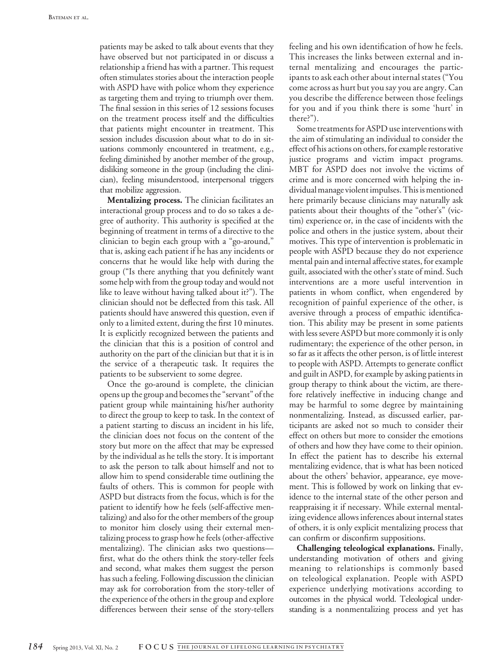patients may be asked to talk about events that they have observed but not participated in or discuss a relationship a friend has with a partner. This request often stimulates stories about the interaction people with ASPD have with police whom they experience as targeting them and trying to triumph over them. The final session in this series of 12 sessions focuses on the treatment process itself and the difficulties that patients might encounter in treatment. This session includes discussion about what to do in situations commonly encountered in treatment, e.g., feeling diminished by another member of the group, disliking someone in the group (including the clinician), feeling misunderstood, interpersonal triggers that mobilize aggression.

Mentalizing process. The clinician facilitates an interactional group process and to do so takes a degree of authority. This authority is specified at the beginning of treatment in terms of a directive to the clinician to begin each group with a "go-around," that is, asking each patient if he has any incidents or concerns that he would like help with during the group ("Is there anything that you definitely want some help with from the group today and would not like to leave without having talked about it?"). The clinician should not be deflected from this task. All patients should have answered this question, even if only to a limited extent, during the first 10 minutes. It is explicitly recognized between the patients and the clinician that this is a position of control and authority on the part of the clinician but that it is in the service of a therapeutic task. It requires the patients to be subservient to some degree.

Once the go-around is complete, the clinician opens up the group and becomes the"servant" of the patient group while maintaining his/her authority to direct the group to keep to task. In the context of a patient starting to discuss an incident in his life, the clinician does not focus on the content of the story but more on the affect that may be expressed by the individual as he tells the story. It is important to ask the person to talk about himself and not to allow him to spend considerable time outlining the faults of others. This is common for people with ASPD but distracts from the focus, which is for the patient to identify how he feels (self-affective mentalizing) and also for the other members of the group to monitor him closely using their external mentalizing process to grasp how he feels (other-affective mentalizing). The clinician asks two questions first, what do the others think the story-teller feels and second, what makes them suggest the person has such a feeling. Following discussion the clinician may ask for corroboration from the story-teller of the experience of the others in the group and explore differences between their sense of the story-tellers

feeling and his own identification of how he feels. This increases the links between external and internal mentalizing and encourages the participants to ask each other about internal states ("You come across as hurt but you say you are angry. Can you describe the difference between those feelings for you and if you think there is some 'hurt' in there?").

Some treatments for ASPD use interventions with the aim of stimulating an individual to consider the effect of his actions on others, for example restorative justice programs and victim impact programs. MBT for ASPD does not involve the victims of crime and is more concerned with helping the individual manage violent impulses. This is mentioned here primarily because clinicians may naturally ask patients about their thoughts of the "other's" (victim) experience or, in the case of incidents with the police and others in the justice system, about their motives. This type of intervention is problematic in people with ASPD because they do not experience mental pain and internal affective states, for example guilt, associated with the other's state of mind. Such interventions are a more useful intervention in patients in whom conflict, when engendered by recognition of painful experience of the other, is aversive through a process of empathic identification. This ability may be present in some patients with less severe ASPD but more commonly it is only rudimentary; the experience of the other person, in so far as it affects the other person, is of little interest to people with ASPD. Attempts to generate conflict and guilt in ASPD, for example by asking patients in group therapy to think about the victim, are therefore relatively ineffective in inducing change and may be harmful to some degree by maintaining nonmentalizing. Instead, as discussed earlier, participants are asked not so much to consider their effect on others but more to consider the emotions of others and how they have come to their opinion. In effect the patient has to describe his external mentalizing evidence, that is what has been noticed about the others' behavior, appearance, eye movement. This is followed by work on linking that evidence to the internal state of the other person and reappraising it if necessary. While external mentalizing evidence allows inferences about internal states of others, it is only explicit mentalizing process that can confirm or disconfirm suppositions.

Challenging teleological explanations. Finally, understanding motivation of others and giving meaning to relationships is commonly based on teleological explanation. People with ASPD experience underlying motivations according to outcomes in the physical world. Teleological understanding is a nonmentalizing process and yet has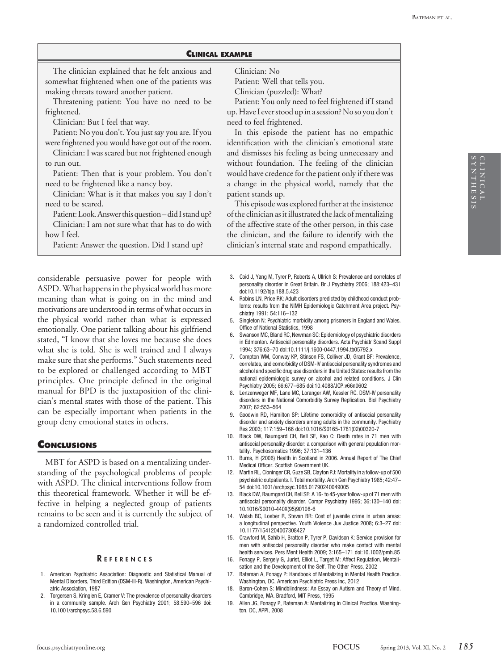# CLINICAL EXAMPLE

The clinician explained that he felt anxious and somewhat frightened when one of the patients was making threats toward another patient.

Threatening patient: You have no need to be frightened.

Clinician: But I feel that way.

Patient: No you don't. You just say you are. If you were frightened you would have got out of the room.

Clinician: I was scared but not frightened enough to run out.

Patient: Then that is your problem. You don't need to be frightened like a nancy boy.

Clinician: What is it that makes you say I don't need to be scared.

Patient: Look. Answer this question - did I stand up? Clinician: I am not sure what that has to do with how I feel.

Patient: Answer the question. Did I stand up?

considerable persuasive power for people with ASPD. What happens in the physical world has more meaning than what is going on in the mind and motivations are understood in terms of what occurs in the physical world rather than what is expressed emotionally. One patient talking about his girlfriend stated, "I know that she loves me because she does what she is told. She is well trained and I always make sure that she performs." Such statements need to be explored or challenged according to MBT principles. One principle defined in the original manual for BPD is the juxtaposition of the clinician's mental states with those of the patient. This can be especially important when patients in the group deny emotional states in others.

# **CONCLUSIONS**

MBT for ASPD is based on a mentalizing understanding of the psychological problems of people with ASPD. The clinical interventions follow from this theoretical framework. Whether it will be effective in helping a neglected group of patients remains to be seen and it is currently the subject of a randomized controlled trial.

## **REFERENCES**

- 1. American Psychiatric Association: Diagnostic and Statistical Manual of Mental Disorders, Third Edition (DSM-III-R). Washington, American Psychiatric Association, 1987
- 2. Torgersen S, Kringlen E, Cramer V: The prevalence of personality disorders in a community sample. Arch Gen Psychiatry 2001; 58:590–596 doi: 10.1001/archpsyc.58.6.590

Clinician: No

Patient: Well that tells you. Clinician (puzzled): What?

Patient: You only need to feel frightened if I stand up. Have I ever stood up in a session? No so you don't need to feel frightened.

In this episode the patient has no empathic identification with the clinician's emotional state and dismisses his feeling as being unnecessary and without foundation. The feeling of the clinician would have credence for the patient only if there was a change in the physical world, namely that the patient stands up.

This episode was explored further at the insistence of the clinician as it illustrated the lack of mentalizing of the affective state of the other person, in this case the clinician, and the failure to identify with the clinician's internal state and respond empathically.

- 3. Coid J, Yang M, Tyrer P, Roberts A, Ullrich S: Prevalence and correlates of personality disorder in Great Britain. Br J Psychiatry 2006; 188:423–431 doi:10.1192/bjp.188.5.423
- 4. Robins LN, Price RK: Adult disorders predicted by childhood conduct problems: results from the NIMH Epidemiologic Catchment Area project. Psychiatry 1991; 54:116–132
- Singleton N: Psychiatric morbidity among prisoners in England and Wales. Office of National Statistics, 1998
- Swanson MC, Bland RC, Newman SC: Epidemiology of psychiatric disorders in Edmonton. Antisocial personality disorders. Acta Psychiatr Scand Suppl 1994; 376:63–70 doi:10.1111/j.1600-0447.1994.tb05792.x
- 7. Compton WM, Conway KP, Stinson FS, Colliver JD, Grant BF: Prevalence, correlates, and comorbidity of DSM-IV antisocial personality syndromes and alcohol and specific drug use disorders in the United States: results from the national epidemiologic survey on alcohol and related conditions. J Clin Psychiatry 2005; 66:677–685 doi:10.4088/JCP.v66n0602
- 8. Lenzenweger MF, Lane MC, Loranger AW, Kessler RC. DSM-IV personality disorders in the National Comorbidity Survey Replication. Biol Psychiatry 2007; 62:553–564
- 9. Goodwin RD, Hamilton SP: Lifetime comorbidity of antisocial personality disorder and anxiety disorders among adults in the community. Psychiatry Res 2003; 117:159–166 doi:10.1016/S0165-1781(02)00320-7
- 10. Black DW, Baumgard CH, Bell SE, Kao C: Death rates in 71 men with antisocial personality disorder: a comparison with general population mortality. Psychosomatics 1996; 37:131–136
- 11. Burns, H (2006) Health in Scotland in 2006. Annual Report of The Chief Medical Officer. Scottish Government UK.
- 12. Martin RL, Cloninger CR, Guze SB, Clayton PJ: Mortality in a follow-up of 500 psychiatric outpatients. I. Total mortality. Arch Gen Psychiatry 1985; 42:47– 54 doi:10.1001/archpsyc.1985.01790240049005
- 13. Black DW, Baumgard CH, Bell SE: A 16- to 45-year follow-up of 71 men with antisocial personality disorder. Compr Psychiatry 1995; 36:130–140 doi: 10.1016/S0010-440X(95)90108-6
- 14. Welsh BC, Loeber R, Stevan BR: Cost of juvenile crime in urban areas: a longitudinal perspective. Youth Violence Juv Justice 2008; 6:3–27 doi: 10.1177/1541204007308427
- 15. Crawford M, Sahib H, Bratton P, Tyrer P, Davidson K: Service provision for men with antisocial personality disorder who make contact with mental health services. Pers Ment Health 2009; 3:165–171 doi:10.1002/pmh.85
- 16. Fonagy P, Gergely G, Jurist, Elliot L, Target M: Affect Regulation, Mentalisation and the Development of the Self. The Other Press, 2002
- 17. Bateman A, Fonagy P: Handbook of Mentalizing in Mental Health Practice. Washington, DC, American Psychiatric Press Inc, 2012
- 18. Baron-Cohen S: Mindblindness: An Essay on Autism and Theory of Mind. Cambridge, MA. Bradford, MIT Press, 1995
- 19. Allen JG, Fonagy P, Bateman A: Mentalizing in Clinical Practice. Washington. DC, APPI, 2008

SYNTHESI<br>SYNTHESI CLINICAL